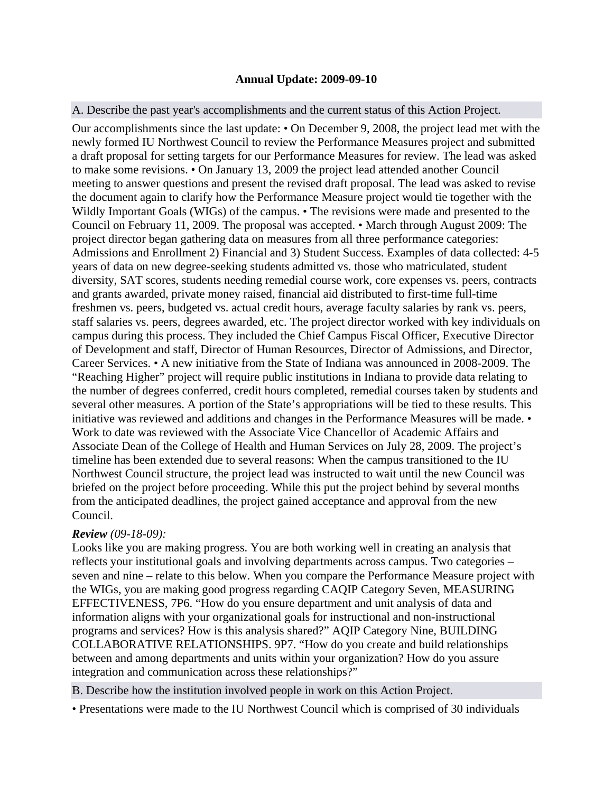## **Annual Update: 2009-09-10**

## A. Describe the past year's accomplishments and the current status of this Action Project.

Our accomplishments since the last update: • On December 9, 2008, the project lead met with the newly formed IU Northwest Council to review the Performance Measures project and submitted a draft proposal for setting targets for our Performance Measures for review. The lead was asked to make some revisions. • On January 13, 2009 the project lead attended another Council meeting to answer questions and present the revised draft proposal. The lead was asked to revise the document again to clarify how the Performance Measure project would tie together with the Wildly Important Goals (WIGs) of the campus. • The revisions were made and presented to the Council on February 11, 2009. The proposal was accepted. • March through August 2009: The project director began gathering data on measures from all three performance categories: Admissions and Enrollment 2) Financial and 3) Student Success. Examples of data collected: 4-5 years of data on new degree-seeking students admitted vs. those who matriculated, student diversity, SAT scores, students needing remedial course work, core expenses vs. peers, contracts and grants awarded, private money raised, financial aid distributed to first-time full-time freshmen vs. peers, budgeted vs. actual credit hours, average faculty salaries by rank vs. peers, staff salaries vs. peers, degrees awarded, etc. The project director worked with key individuals on campus during this process. They included the Chief Campus Fiscal Officer, Executive Director of Development and staff, Director of Human Resources, Director of Admissions, and Director, Career Services. • A new initiative from the State of Indiana was announced in 2008-2009. The "Reaching Higher" project will require public institutions in Indiana to provide data relating to the number of degrees conferred, credit hours completed, remedial courses taken by students and several other measures. A portion of the State's appropriations will be tied to these results. This initiative was reviewed and additions and changes in the Performance Measures will be made. • Work to date was reviewed with the Associate Vice Chancellor of Academic Affairs and Associate Dean of the College of Health and Human Services on July 28, 2009. The project's timeline has been extended due to several reasons: When the campus transitioned to the IU Northwest Council structure, the project lead was instructed to wait until the new Council was briefed on the project before proceeding. While this put the project behind by several months from the anticipated deadlines, the project gained acceptance and approval from the new Council.

## *Review (09-18-09):*

integration and communication across these relationships?" Looks like you are making progress. You are both working well in creating an analysis that reflects your institutional goals and involving departments across campus. Two categories – seven and nine – relate to this below. When you compare the Performance Measure project with the WIGs, you are making good progress regarding CAQIP Category Seven, MEASURING EFFECTIVENESS, 7P6. "How do you ensure department and unit analysis of data and information aligns with your organizational goals for instructional and non-instructional programs and services? How is this analysis shared?" AQIP Category Nine, BUILDING COLLABORATIVE RELATIONSHIPS. 9P7. "How do you create and build relationships between and among departments and units within your organization? How do you assure

B. Describe how the institution involved people in work on this Action Project.

• Presentations were made to the IU Northwest Council which is comprised of 30 individuals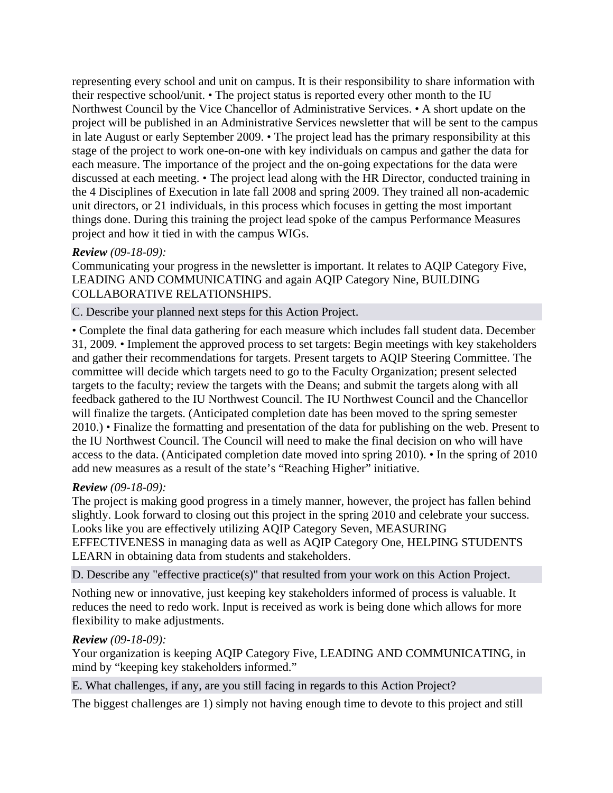representing every school and unit on campus. It is their responsibility to share information with their respective school/unit. • The project status is reported every other month to the IU Northwest Council by the Vice Chancellor of Administrative Services. • A short update on the project will be published in an Administrative Services newsletter that will be sent to the campus in late August or early September 2009. • The project lead has the primary responsibility at this stage of the project to work one-on-one with key individuals on campus and gather the data for each measure. The importance of the project and the on-going expectations for the data were discussed at each meeting. • The project lead along with the HR Director, conducted training in the 4 Disciplines of Execution in late fall 2008 and spring 2009. They trained all non-academic unit directors, or 21 individuals, in this process which focuses in getting the most important things done. During this training the project lead spoke of the campus Performance Measures project and how it tied in with the campus WIGs.

# *Review (09-18-09):*

Communicating your progress in the newsletter is important. It relates to AQIP Category Five, LEADING AND COMMUNICATING and again AQIP Category Nine, BUILDING COLLABORATIVE RELATIONSHIPS.

#### C. Describe your planned next steps for this Action Project.

• Complete the final data gathering for each measure which includes fall student data. December 31, 2009. • Implement the approved process to set targets: Begin meetings with key stakeholders and gather their recommendations for targets. Present targets to AQIP Steering Committee. The committee will decide which targets need to go to the Faculty Organization; present selected targets to the faculty; review the targets with the Deans; and submit the targets along with all feedback gathered to the IU Northwest Council. The IU Northwest Council and the Chancellor will finalize the targets. (Anticipated completion date has been moved to the spring semester 2010.) • Finalize the formatting and presentation of the data for publishing on the web. Present to the IU Northwest Council. The Council will need to make the final decision on who will have access to the data. (Anticipated completion date moved into spring 2010). • In the spring of 2010 add new measures as a result of the state's "Reaching Higher" initiative.

### *Review (09-18-09):*

The project is making good progress in a timely manner, however, the project has fallen behind slightly. Look forward to closing out this project in the spring 2010 and celebrate your success. Looks like you are effectively utilizing AQIP Category Seven, MEASURING EFFECTIVENESS in managing data as well as AQIP Category One, HELPING STUDENTS LEARN in obtaining data from students and stakeholders.

D. Describe any "effective practice(s)" that resulted from your work on this Action Project.

Nothing new or innovative, just keeping key stakeholders informed of process is valuable. It reduces the need to redo work. Input is received as work is being done which allows for more flexibility to make adjustments.

### *Review (09-18-09):*

Your organization is keeping AQIP Category Five, LEADING AND COMMUNICATING, in mind by "keeping key stakeholders informed."

E. What challenges, if any, are you still facing in regards to this Action Project?

The biggest challenges are 1) simply not having enough time to devote to this project and still